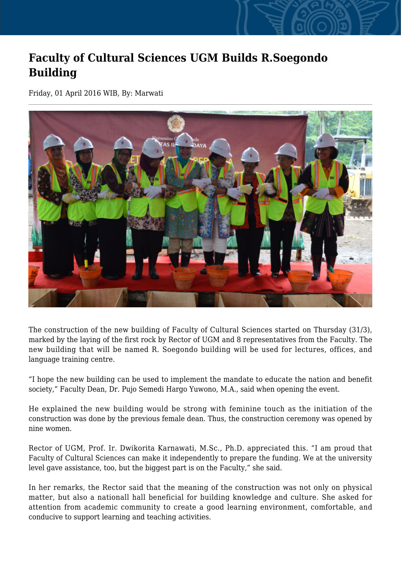## **Faculty of Cultural Sciences UGM Builds R.Soegondo Building**

Friday, 01 April 2016 WIB, By: Marwati



The construction of the new building of Faculty of Cultural Sciences started on Thursday (31/3), marked by the laying of the first rock by Rector of UGM and 8 representatives from the Faculty. The new building that will be named R. Soegondo building will be used for lectures, offices, and language training centre.

"I hope the new building can be used to implement the mandate to educate the nation and benefit society," Faculty Dean, Dr. Pujo Semedi Hargo Yuwono, M.A., said when opening the event.

He explained the new building would be strong with feminine touch as the initiation of the construction was done by the previous female dean. Thus, the construction ceremony was opened by nine women.

Rector of UGM, Prof. Ir. Dwikorita Karnawati, M.Sc., Ph.D. appreciated this. "I am proud that Faculty of Cultural Sciences can make it independently to prepare the funding. We at the university level gave assistance, too, but the biggest part is on the Faculty," she said.

In her remarks, the Rector said that the meaning of the construction was not only on physical matter, but also a nationall hall beneficial for building knowledge and culture. She asked for attention from academic community to create a good learning environment, comfortable, and conducive to support learning and teaching activities.